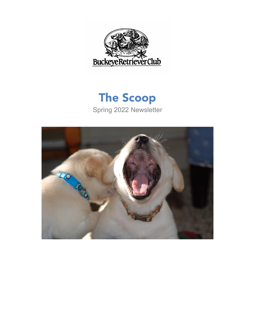

# The Scoop Spring 2022 Newsletter

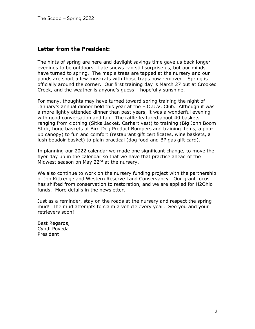### Letter from the President:

The hints of spring are here and daylight savings time gave us back longer evenings to be outdoors. Late snows can still surprise us, but our minds have turned to spring. The maple trees are tapped at the nursery and our ponds are short a few muskrats with those traps now removed. Spring is officially around the corner. Our first training day is March 27 out at Crooked Creek, and the weather is anyone's guess – hopefully sunshine.

For many, thoughts may have turned toward spring training the night of January's annual dinner held this year at the E.O.U.V. Club. Although it was a more lightly attended dinner than past years, it was a wonderful evening with good conversation and fun. The raffle featured about 40 baskets ranging from clothing (Sitka Jacket, Carhart vest) to training (Big John Boom Stick, huge baskets of Bird Dog Product Bumpers and training items, a popup canopy) to fun and comfort (restaurant gift certificates, wine baskets, a lush boudoir basket) to plain practical (dog food and BP gas gift card).

In planning our 2022 calendar we made one significant change, to move the flyer day up in the calendar so that we have that practice ahead of the Midwest season on May 22 $^{nd}$  at the nursery.

We also continue to work on the nursery funding project with the partnership of Jon Kittredge and Western Reserve Land Conservancy. Our grant focus has shifted from conservation to restoration, and we are applied for H2Ohio funds. More details in the newsletter.

Just as a reminder, stay on the roads at the nursery and respect the spring mud! The mud attempts to claim a vehicle every year. See you and your retrievers soon!

Best Regards, Cyndi Poveda President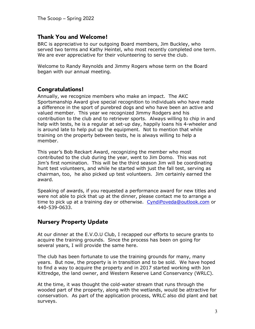#### Thank You and Welcome!

BRC is appreciative to our outgoing Board members, Jim Buckley, who served two terms and Kathy Heintel, who most recently completed one term. We are ever appreciative for their volunteering to serve the club.

Welcome to Randy Reynolds and Jimmy Rogers whose term on the Board began with our annual meeting.

#### Congratulations!

Annually, we recognize members who make an impact. The AKC Sportsmanship Award give special recognition to individuals who have made a difference in the sport of purebred dogs and who have been an active and valued member. This year we recognized Jimmy Rodgers and his contribution to the club and to retriever sports. Always willing to chip in and help with tests, he is a regular at set-up day, happily loans his 4-wheeler and is around late to help put up the equipment. Not to mention that while training on the property between tests, he is always willing to help a member.

This year's Bob Reckart Award, recognizing the member who most contributed to the club during the year, went to Jim Domo. This was not Jim's first nomination. This will be the third season Jim will be coordinating hunt test volunteers, and while he started with just the fall test, serving as chairman, too, he also picked up test volunteers. Jim certainly earned the award.

Speaking of awards, if you requested a performance award for new titles and were not able to pick that up at the dinner, please contact me to arrange a time to pick up at a training day or otherwise. CyndiPoveda@outlook.com or 440-539-0633.

#### Nursery Property Update

At our dinner at the E.V.O.U Club, I recapped our efforts to secure grants to acquire the training grounds. Since the process has been on going for several years, I will provide the same here.

The club has been fortunate to use the training grounds for many, many years. But now, the property is in transition and to be sold. We have hoped to find a way to acquire the property and in 2017 started working with Jon Kittredge, the land owner, and Western Reserve Land Conservancy (WRLC).

At the time, it was thought the cold-water stream that runs through the wooded part of the property, along with the wetlands, would be attractive for conservation. As part of the application process, WRLC also did plant and bat surveys.